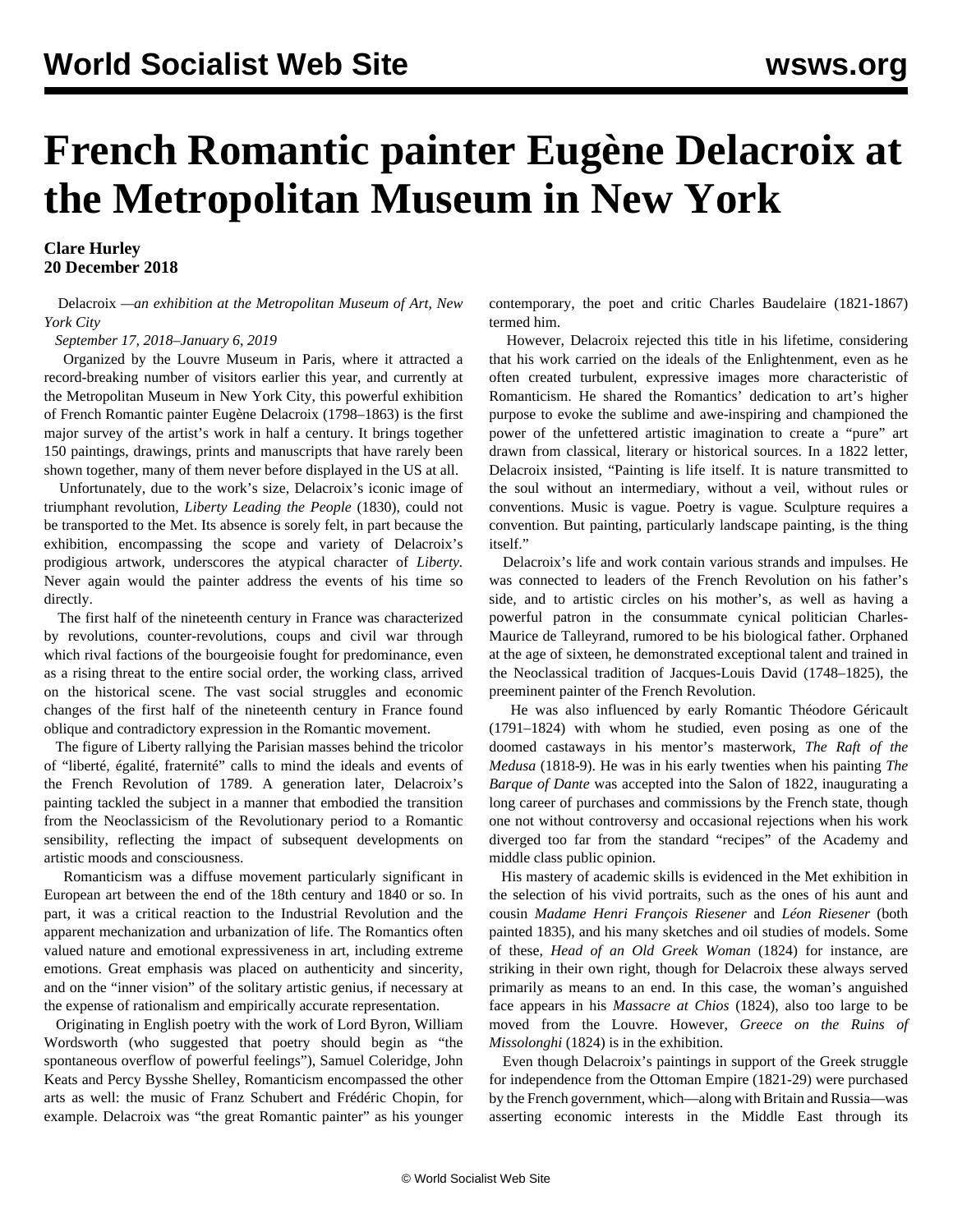## **French Romantic painter Eugène Delacroix at the Metropolitan Museum in New York**

## **Clare Hurley 20 December 2018**

 Delacroix *—an exhibition at the Metropolitan Museum of Art, New York City*

*September 17, 2018–January 6, 2019*

 Organized by the Louvre Museum in Paris, where it attracted a record-breaking number of visitors earlier this year, and currently at the Metropolitan Museum in New York City, this powerful exhibition of French Romantic painter Eugène Delacroix (1798–1863) is the first major survey of the artist's work in half a century. It brings together 150 paintings, drawings, prints and manuscripts that have rarely been shown together, many of them never before displayed in the US at all.

 Unfortunately, due to the work's size, Delacroix's iconic image of triumphant revolution, *Liberty Leading the People* (1830), could not be transported to the Met. Its absence is sorely felt, in part because the exhibition, encompassing the scope and variety of Delacroix's prodigious artwork, underscores the atypical character of *Liberty.* Never again would the painter address the events of his time so directly.

 The first half of the nineteenth century in France was characterized by revolutions, counter-revolutions, coups and civil war through which rival factions of the bourgeoisie fought for predominance, even as a rising threat to the entire social order, the working class, arrived on the historical scene. The vast social struggles and economic changes of the first half of the nineteenth century in France found oblique and contradictory expression in the Romantic movement.

 The figure of Liberty rallying the Parisian masses behind the tricolor of "liberté, égalité, fraternité" calls to mind the ideals and events of the French Revolution of 1789. A generation later, Delacroix's painting tackled the subject in a manner that embodied the transition from the Neoclassicism of the Revolutionary period to a Romantic sensibility, reflecting the impact of subsequent developments on artistic moods and consciousness.

 Romanticism was a diffuse movement particularly significant in European art between the end of the 18th century and 1840 or so. In part, it was a critical reaction to the Industrial Revolution and the apparent mechanization and urbanization of life. The Romantics often valued nature and emotional expressiveness in art, including extreme emotions. Great emphasis was placed on authenticity and sincerity, and on the "inner vision" of the solitary artistic genius, if necessary at the expense of rationalism and empirically accurate representation.

 Originating in English poetry with the work of Lord Byron, William Wordsworth (who suggested that poetry should begin as "the spontaneous overflow of powerful feelings"), Samuel Coleridge, John Keats and Percy Bysshe Shelley, Romanticism encompassed the other arts as well: the music of Franz Schubert and Frédéric Chopin, for example. Delacroix was "the great Romantic painter" as his younger contemporary, the poet and critic Charles Baudelaire (1821-1867) termed him.

 However, Delacroix rejected this title in his lifetime, considering that his work carried on the ideals of the Enlightenment, even as he often created turbulent, expressive images more characteristic of Romanticism. He shared the Romantics' dedication to art's higher purpose to evoke the sublime and awe-inspiring and championed the power of the unfettered artistic imagination to create a "pure" art drawn from classical, literary or historical sources. In a 1822 letter, Delacroix insisted, "Painting is life itself. It is nature transmitted to the soul without an intermediary, without a veil, without rules or conventions. Music is vague. Poetry is vague. Sculpture requires a convention. But painting, particularly landscape painting, is the thing itself"

 Delacroix's life and work contain various strands and impulses. He was connected to leaders of the French Revolution on his father's side, and to artistic circles on his mother's, as well as having a powerful patron in the consummate cynical politician Charles-Maurice de Talleyrand, rumored to be his biological father. Orphaned at the age of sixteen, he demonstrated exceptional talent and trained in the Neoclassical tradition of Jacques-Louis David (1748–1825), the preeminent painter of the French Revolution.

 He was also influenced by early Romantic Théodore Géricault (1791–1824) with whom he studied, even posing as one of the doomed castaways in his mentor's masterwork, *The Raft of the Medusa* (1818-9). He was in his early twenties when his painting *The Barque of Dante* was accepted into the Salon of 1822, inaugurating a long career of purchases and commissions by the French state, though one not without controversy and occasional rejections when his work diverged too far from the standard "recipes" of the Academy and middle class public opinion.

 His mastery of academic skills is evidenced in the Met exhibition in the selection of his vivid portraits, such as the ones of his aunt and cousin *Madame Henri François Riesener* and *Léon Riesener* (both painted 1835), and his many sketches and oil studies of models. Some of these, *Head of an Old Greek Woman* (1824) for instance, are striking in their own right, though for Delacroix these always served primarily as means to an end. In this case, the woman's anguished face appears in his *Massacre at Chios* (1824), also too large to be moved from the Louvre. However, *Greece on the Ruins of Missolonghi* (1824) is in the exhibition.

 Even though Delacroix's paintings in support of the Greek struggle for independence from the Ottoman Empire (1821-29) were purchased by the French government, which—along with Britain and Russia—was asserting economic interests in the Middle East through its